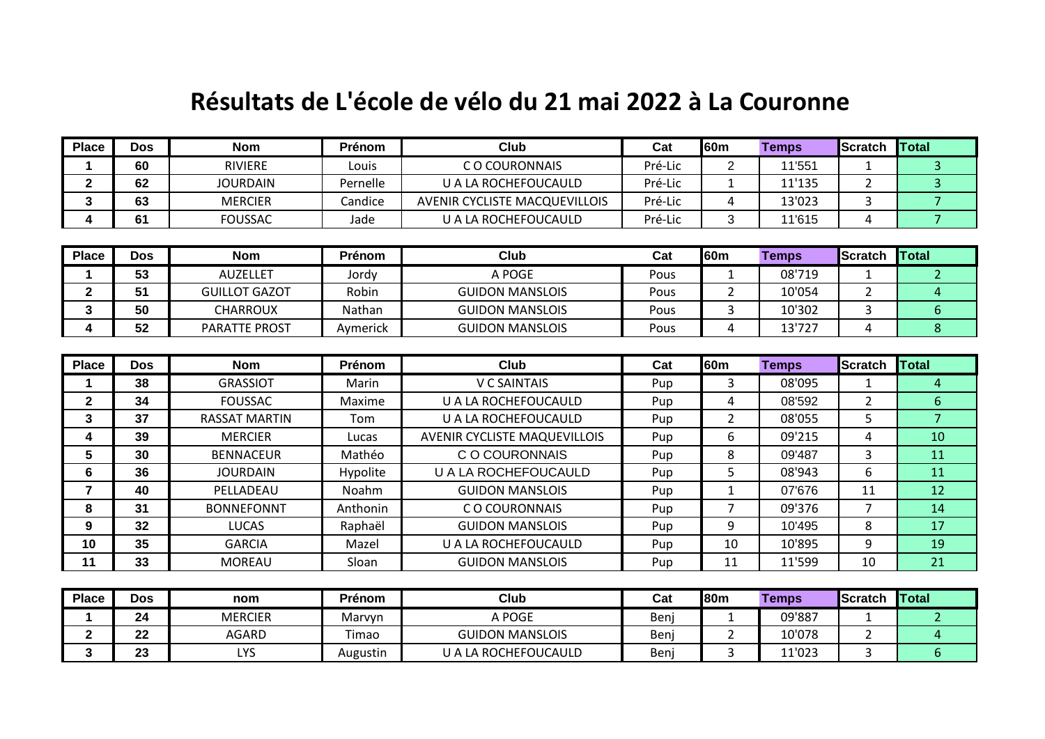## **Résultats de L'école de vélo du 21 mai 2022 à La Couronne**

| <b>Place</b>            | <b>Dos</b> | <b>Nom</b>           | Prénom   | <b>Club</b>                          | Cat     | 60 <sub>m</sub> | <b>Temps</b> | Scratch        | <b>Total</b>   |
|-------------------------|------------|----------------------|----------|--------------------------------------|---------|-----------------|--------------|----------------|----------------|
| 1                       | 60         | <b>RIVIERE</b>       | Louis    | C O COURONNAIS                       | Pré-Lic | $\overline{2}$  | 11'551       | $\mathbf{1}$   | $\mathbf{3}$   |
| $\overline{\mathbf{2}}$ | 62         | <b>JOURDAIN</b>      | Pernelle | <b>U A LA ROCHEFOUCAULD</b>          | Pré-Lic | $\mathbf{1}$    | 11'135       | $\overline{2}$ | $\overline{3}$ |
| 3                       | 63         | <b>MERCIER</b>       | Candice  | <b>AVENIR CYCLISTE MACQUEVILLOIS</b> | Pré-Lic | 4               | 13'023       | 3              | $\overline{7}$ |
| 4                       | 61         | <b>FOUSSAC</b>       | Jade     | <b>U A LA ROCHEFOUCAULD</b>          | Pré-Lic | 3               | 11'615       | 4              | $\overline{7}$ |
|                         |            |                      |          |                                      |         |                 |              |                |                |
| <b>Place</b>            | <b>Dos</b> | <b>Nom</b>           | Prénom   | <b>Club</b>                          | Cat     | 60 <sub>m</sub> | <b>Temps</b> | <b>Scratch</b> | <b>Total</b>   |
| 1                       | 53         | <b>AUZELLET</b>      | Jordy    | A POGE                               | Pous    | $\mathbf{1}$    | 08'719       | $\mathbf{1}$   | $\overline{2}$ |
| $\mathbf{2}$            | 51         | <b>GUILLOT GAZOT</b> | Robin    | <b>GUIDON MANSLOIS</b>               | Pous    | $\overline{2}$  | 10'054       | $2^{\circ}$    | $\overline{4}$ |
| 3                       | 50         | <b>CHARROUX</b>      | Nathan   | <b>GUIDON MANSLOIS</b>               | Pous    | 3               | 10'302       | 3              | 6              |
| 4                       | 52         | <b>PARATTE PROST</b> | Aymerick | <b>GUIDON MANSLOIS</b>               | Pous    | 4               | 13'727       | 4              | 8              |
|                         |            |                      |          |                                      |         |                 |              |                |                |
| <b>Place</b>            | <b>Dos</b> | <b>Nom</b>           | Prénom   | <b>Club</b>                          | Cat     | 60 <sub>m</sub> | <b>Temps</b> | <b>Scratch</b> | <b>Total</b>   |
| 1                       | 38         | <b>GRASSIOT</b>      | Marin    | <b>V C SAINTAIS</b>                  | Pup     | 3               | 08'095       | 1              | $\overline{4}$ |
| $\mathbf 2$             | 34         | <b>FOUSSAC</b>       | Maxime   | U A LA ROCHEFOUCAULD                 | Pup     | 4               | 08'592       | $\overline{2}$ | 6              |
| 3                       | 37         | <b>RASSAT MARTIN</b> | Tom      | U A LA ROCHEFOUCAULD                 | Pup     | $\overline{2}$  | 08'055       | 5              | $\overline{7}$ |
| 4                       | 39         | <b>MERCIER</b>       | Lucas    | <b>AVENIR CYCLISTE MAQUEVILLOIS</b>  | Pup     | 6               | 09'215       | 4              | 10             |
| 5                       | 30         | <b>BENNACEUR</b>     | Mathéo   | C O COURONNAIS                       | Pup     | 8               | 09'487       | 3              | 11             |
| 6                       | 36         | <b>JOURDAIN</b>      | Hypolite | U A LA ROCHEFOUCAULD                 | Pup     | 5               | 08'943       | 6              | 11             |
| 7                       | 40         | PELLADEAU            | Noahm    | <b>GUIDON MANSLOIS</b>               | Pup     | $\mathbf{1}$    | 07'676       | 11             | 12             |
| 8                       | 31         | <b>BONNEFONNT</b>    | Anthonin | C O COURONNAIS                       | Pup     | $\overline{7}$  | 09'376       | $\overline{7}$ | 14             |
| 9                       | 32         | <b>LUCAS</b>         | Raphaël  | <b>GUIDON MANSLOIS</b>               | Pup     | 9               | 10'495       | 8              | 17             |
| 10                      | 35         | <b>GARCIA</b>        | Mazel    | U A LA ROCHEFOUCAULD                 | Pup     | 10              | 10'895       | 9              | 19             |
| 11                      | 33         | <b>MOREAU</b>        | Sloan    | <b>GUIDON MANSLOIS</b>               | Pup     | 11              | 11'599       | 10             | 21             |
|                         |            |                      |          |                                      |         |                 |              |                |                |
| <b>Place</b>            | <b>Dos</b> | nom                  | Prénom   | Club                                 | Cat     | 80 <sub>m</sub> | <b>Temps</b> | <b>Scratch</b> | Total          |

| <b>Place</b> | <b>Dos</b> | nom            | Prénom   | Club                   | Cat  | 180 <sub>m</sub> | <b>Temps</b> | <b>Scratch</b> | <b>Total</b> |
|--------------|------------|----------------|----------|------------------------|------|------------------|--------------|----------------|--------------|
|              | 24         | <b>MERCIER</b> | Marvyn   | A POGE                 | Benj |                  | 09'887       |                |              |
|              | nn.<br>LL  | <b>AGARD</b>   | Timao    | <b>GUIDON MANSLOIS</b> | Benj |                  | 10'078       |                |              |
|              | ົ<br>20    | ı vc<br>பல     | Augustin | U A LA ROCHEFOUCAULD   | Benj |                  | 11'023       |                |              |